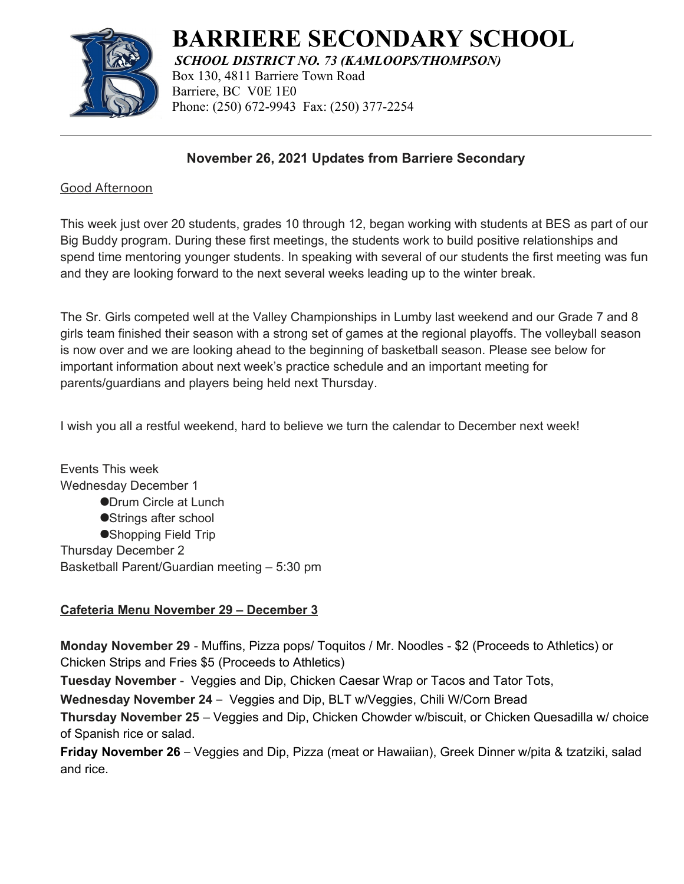

# **BARRIERE SECONDARY SCHOOL**

*SCHOOL DISTRICT NO. 73 (KAMLOOPS/THOMPSON)* Box 130, 4811 Barriere Town Road Barriere, BC V0E 1E0 Phone: (250) 672-9943 Fax: (250) 377-2254

## **November 26, 2021 Updates from Barriere Secondary**

#### Good Afternoon

This week just over 20 students, grades 10 through 12, began working with students at BES as part of our Big Buddy program. During these first meetings, the students work to build positive relationships and spend time mentoring younger students. In speaking with several of our students the first meeting was fun and they are looking forward to the next several weeks leading up to the winter break.

The Sr. Girls competed well at the Valley Championships in Lumby last weekend and our Grade 7 and 8 girls team finished their season with a strong set of games at the regional playoffs. The volleyball season is now over and we are looking ahead to the beginning of basketball season. Please see below for important information about next week's practice schedule and an important meeting for parents/guardians and players being held next Thursday.

I wish you all a restful weekend, hard to believe we turn the calendar to December next week!

Events This week Wednesday December 1 **ODrum Circle at Lunch** ●Strings after school ●Shopping Field Trip Thursday December 2 Basketball Parent/Guardian meeting – 5:30 pm

### **Cafeteria Menu November 29 – December 3**

**Monday November 29** - Muffins, Pizza pops/ Toquitos / Mr. Noodles - \$2 (Proceeds to Athletics) or Chicken Strips and Fries \$5 (Proceeds to Athletics)

**Tuesday November** - Veggies and Dip, Chicken Caesar Wrap or Tacos and Tator Tots,

**Wednesday November 24** – Veggies and Dip, BLT w/Veggies, Chili W/Corn Bread

**Thursday November 25** – Veggies and Dip, Chicken Chowder w/biscuit, or Chicken Quesadilla w/ choice of Spanish rice or salad.

**Friday November 26** – Veggies and Dip, Pizza (meat or Hawaiian), Greek Dinner w/pita & tzatziki, salad and rice.